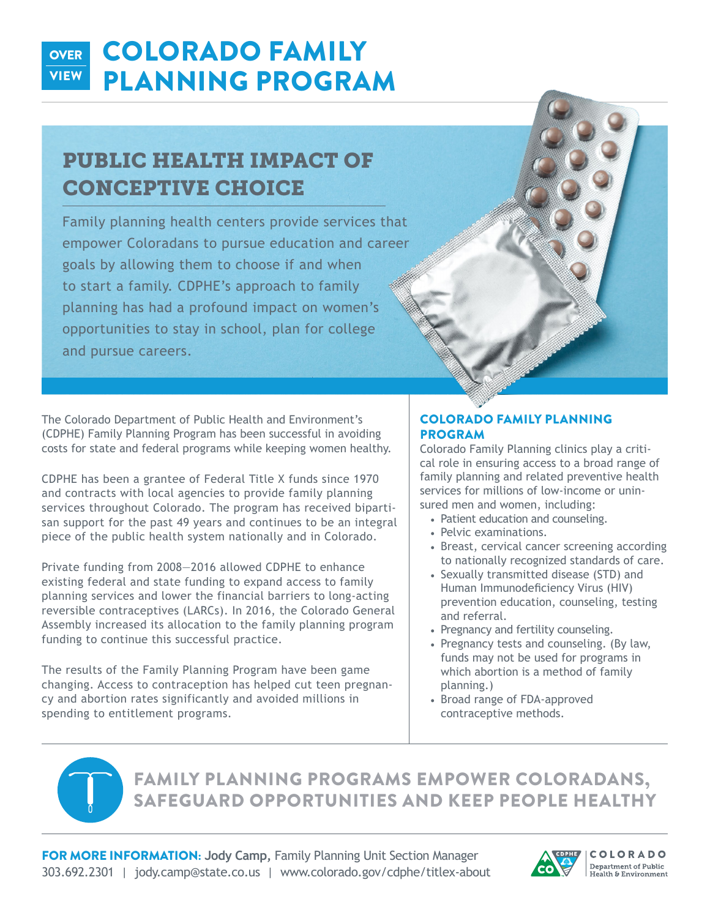#### COLORADO FAMILY PLANNING PROGRAM **OVER VIEW**

### PUBLIC HEALTH IMPACT OF CONCEPTIVE CHOICE

Family planning health centers provide services that empower Coloradans to pursue education and career goals by allowing them to choose if and when to start a family. CDPHE's approach to family planning has had a profound impact on women's opportunities to stay in school, plan for college and pursue careers.

The Colorado Department of Public Health and Environment's (CDPHE) Family Planning Program has been successful in avoiding costs for state and federal programs while keeping women healthy.

CDPHE has been a grantee of Federal Title X funds since 1970 and contracts with local agencies to provide family planning services throughout Colorado. The program has received bipartisan support for the past 49 years and continues to be an integral piece of the public health system nationally and in Colorado.

Private funding from 2008—2016 allowed CDPHE to enhance existing federal and state funding to expand access to family planning services and lower the financial barriers to long-acting reversible contraceptives (LARCs). In 2016, the Colorado General Assembly increased its allocation to the family planning program funding to continue this successful practice.

The results of the Family Planning Program have been game changing. Access to contraception has helped cut teen pregnancy and abortion rates significantly and avoided millions in spending to entitlement programs.

#### COLORADO FAMILY PLANNING PROGRAM

Colorado Family Planning clinics play a critical role in ensuring access to a broad range of family planning and related preventive health services for millions of low-income or uninsured men and women, including:

- Patient education and counseling.
- Pelvic examinations.
- Breast, cervical cancer screening according to nationally recognized standards of care.
- Sexually transmitted disease (STD) and Human Immunodeficiency Virus (HIV) prevention education, counseling, testing and referral.
- Pregnancy and fertility counseling.
- Pregnancy tests and counseling. (By law, funds may not be used for programs in which abortion is a method of family planning.)
- Broad range of FDA-approved contraceptive methods.



### FAMILY PLANNING PROGRAMS EMPOWER COLORADANS, SAFEGUARD OPPORTUNITIES AND KEEP PEOPLE HEALTHY